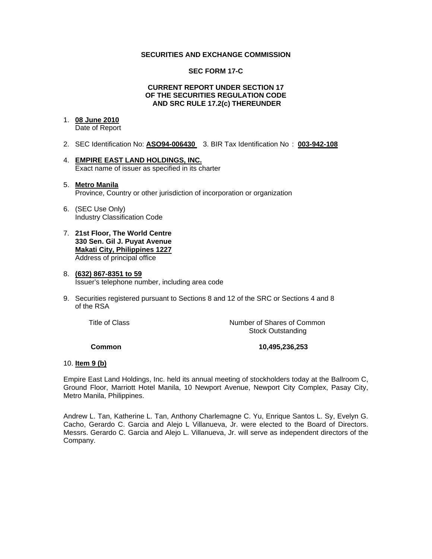## **SECURITIES AND EXCHANGE COMMISSION**

#### **SEC FORM 17-C**

#### **CURRENT REPORT UNDER SECTION 17 OF THE SECURITIES REGULATION CODE AND SRC RULE 17.2(c) THEREUNDER**

# 1. **08 June 2010**

Date of Report

- 2. SEC Identification No: **ASO94-006430** 3. BIR Tax Identification No : **003-942-108**
- 4. **EMPIRE EAST LAND HOLDINGS, INC.** Exact name of issuer as specified in its charter

#### 5. **Metro Manila** Province, Country or other jurisdiction of incorporation or organization

- 6. (SEC Use Only) Industry Classification Code
- 7. **21st Floor, The World Centre 330 Sen. Gil J. Puyat Avenue Makati City, Philippines 1227** Address of principal office

## 8. **(632) 867-8351 to 59** Issuer's telephone number, including area code

9. Securities registered pursuant to Sections 8 and 12 of the SRC or Sections 4 and 8 of the RSA

 Title of ClassNumber of Shares of Common Stock Outstanding

## **Common 10,495,236,253**

## 10. **Item 9 (b)**

Empire East Land Holdings, Inc. held its annual meeting of stockholders today at the Ballroom C, Ground Floor, Marriott Hotel Manila, 10 Newport Avenue, Newport City Complex, Pasay City, Metro Manila, Philippines.

Andrew L. Tan, Katherine L. Tan, Anthony Charlemagne C. Yu, Enrique Santos L. Sy, Evelyn G. Cacho, Gerardo C. Garcia and Alejo L Villanueva, Jr. were elected to the Board of Directors. Messrs. Gerardo C. Garcia and Alejo L. Villanueva, Jr. will serve as independent directors of the Company.